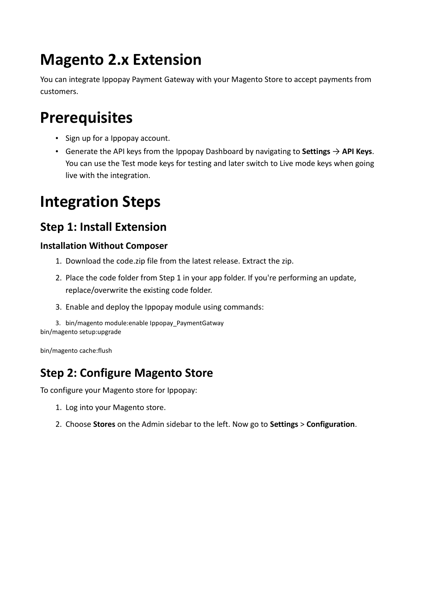# **Magento 2.x Extension**

You can integrate Ippopay Payment Gateway with your Magento Store to accept payments from customers.

### **[Prerequisites](https://razorpay.com/docs/payment-gateway/ecommerce-plugins/magento/2.x/#prerequisites)**

- Sign up for a Ippopay account.
- Generate the API keys from the [Ippopay Dashboard](https://app.ippopay.com/dashboard) by navigating to **Settings** → **API Keys**. You can use the Test mode keys for testing and later switch to Live mode keys when going live with the integration.

# **[Integration Steps](https://razorpay.com/docs/payment-gateway/ecommerce-plugins/magento/2.x/#integration-steps)**

### **[Step 1: Install Extension](https://razorpay.com/docs/payment-gateway/ecommerce-plugins/magento/2.x/#step-1-download-and-install-extension)**

#### **[Installation Without Composer](https://razorpay.com/docs/payment-gateway/ecommerce-plugins/magento/2.x/#installation-without-composer)**

- 1. Download the code.zip file from the [latest release.](https://github.com/razorpay/razorpay-magento/releases/latest) Extract the zip.
- 2. Place the code folder from Step 1 in your app folder. If you're performing an update, replace/overwrite the existing code folder.
- 3. Enable and deploy the Ippopay module using commands:

```
3. bin/magento module:enable Ippopay_PaymentGatway
bin/magento setup:upgrade
```
bin/magento cache:flush

### **[Step 2: Configure Magento Store](https://razorpay.com/docs/payment-gateway/ecommerce-plugins/magento/2.x/#step-2-configure-magento-store)**

To configure your Magento store for Ippopay:

- 1. Log into your [Magento store.](https://magento.com/)
- 2. Choose **Stores** on the Admin sidebar to the left. Now go to **Settings** > **Configuration**.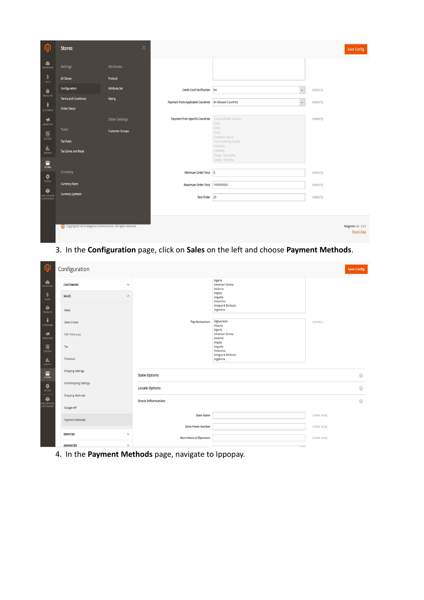

3. In the **Configuration** page, click on **Sales** on the left and choose **Payment Methods**.

| 伽                                         | Configuration                                            |              |                                                   |                                             | <b>Save Config</b> |  |
|-------------------------------------------|----------------------------------------------------------|--------------|---------------------------------------------------|---------------------------------------------|--------------------|--|
| $\mathbf{a}$<br><b>DASHBOARD</b>          | <b>CUSTOMERS</b>                                         | $\checkmark$ |                                                   | Algeria<br>American Samoa<br>Andorra        |                    |  |
| \$<br>SALES                               | <b>SALES</b>                                             | $\wedge$     |                                                   | Angola<br>Anguilla<br>Antarctica            |                    |  |
| Ŵ<br><b>PRODUCTS</b>                      | Sales                                                    |              |                                                   | Antigua & Barbuda<br>Argentina              |                    |  |
| Å<br><b>CUSTOMERS</b>                     | Sales Emails                                             |              | <b>Top destinations</b>                           | Afghanistan<br>Albania<br>Algeria           | [GLOBAL]           |  |
| $\blacktriangleleft$<br><b>MARKETING</b>  | PDF Print-outs                                           |              |                                                   | American Samoa<br>Andorra<br>Angola         |                    |  |
| $\Box$<br>CONTENT                         | Tax                                                      |              |                                                   | Anguilla<br>Antarctica<br>Antigua & Barbuda |                    |  |
| nla<br><b>REPORTS</b>                     | Checkout                                                 |              |                                                   | Argentina                                   |                    |  |
| $\frac{d}{d}$<br>stores                   | <b>Shipping Settings</b>                                 |              | <b>State Options</b>                              |                                             |                    |  |
| ❖<br>SYSTEM                               | Multishipping Settings<br>Shipping Methods<br>Google API |              | <b>Locale Options</b><br><b>Store Information</b> |                                             |                    |  |
| ۰<br><b>FIND PARTNER!</b><br>& EXTENSIONS |                                                          |              |                                                   |                                             |                    |  |
|                                           | Payment Methods                                          |              | <b>Store Name</b>                                 |                                             | [STORE VIEW]       |  |
|                                           |                                                          |              | <b>Store Phone Number</b>                         |                                             | [STORE VIEW]       |  |
|                                           | <b>SERVICES</b>                                          | $\checkmark$ | <b>Store Hours of Operation</b>                   |                                             | [STORE VIEW]       |  |
|                                           | <b>ADVANCED</b>                                          | $\checkmark$ |                                                   |                                             |                    |  |

4. In the **Payment Methods** page, navigate to Ippopay.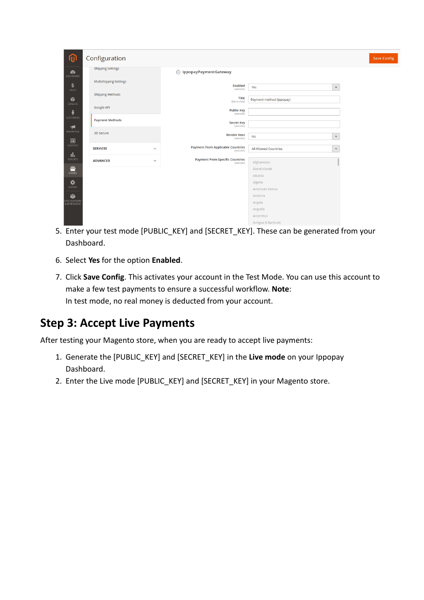|           | Configuration                 |              |                                                       |                          |              |
|-----------|-------------------------------|--------------|-------------------------------------------------------|--------------------------|--------------|
|           | <b>Shipping Settings</b>      |              | ◯ IppopayPaymentGateway                               |                          |              |
| DASHBOARD | <b>Multishipping Settings</b> |              | <b>Enabled</b><br>[website]                           | Yes                      | $\mathbf{v}$ |
|           | <b>Shipping Methods</b>       |              | Title<br>[store view]                                 | Payment method (Ippopay) |              |
|           | Google API                    |              | <b>Public Key</b><br>[website]                        |                          |              |
|           | <b>Payment Methods</b>        |              | <b>Secret Key</b><br>[website]                        |                          |              |
| MARKETING | 3D Secure                     |              | <b>Render Host</b><br>[website]                       | <b>No</b>                | $\mathbf{v}$ |
|           | <b>SERVICES</b>               | $\checkmark$ | <b>Payment From Applicable Countries</b><br>[website] | All Allowed Countries    | $\mathbf{v}$ |
|           | <b>ADVANCED</b>               | $\checkmark$ | <b>Payment From Specific Countries</b><br>[website]   | Afghanistan              |              |
|           |                               |              |                                                       | Åland Islands            |              |
|           |                               |              |                                                       | Albania                  |              |
|           |                               |              |                                                       | Algeria                  |              |
|           |                               |              |                                                       | American Samoa           |              |
|           |                               |              |                                                       | Andorra                  |              |
|           |                               |              |                                                       | Angola                   |              |
|           |                               |              |                                                       | Anguilla<br>Antarctica   |              |
|           |                               |              |                                                       | Australian A. Burghards  |              |

- 5. Enter your test mode [PUBLIC\_KEY] and [SECRET\_KEY]. These can be generated from your [Dashboard.](https://app.ippopay.com/signin)
- 6. Select **Yes** for the option **Enabled**.
- 7. Click **Save Config**. This activates your account in the Test Mode. You can use this account to make a few test payments to ensure a successful workflow. **Note**: In test mode, no real money is deducted from your account.

### **[Step 3: Accept Live Payments](https://razorpay.com/docs/payment-gateway/ecommerce-plugins/magento/2.x/#step-4-accept-live-payments)**

After testing your Magento store, when you are ready to accept live payments:

- 1. [Generate the \[PUBLIC\\_KEY\] and \[SECRET\\_KEY\]](https://app.ippopay.com/settings/api) in the **Live mode** on your Ippopay Dashboard.
- 2. Enter the Live mode [PUBLIC\_KEY] and [SECRET\_KEY] in your Magento store.